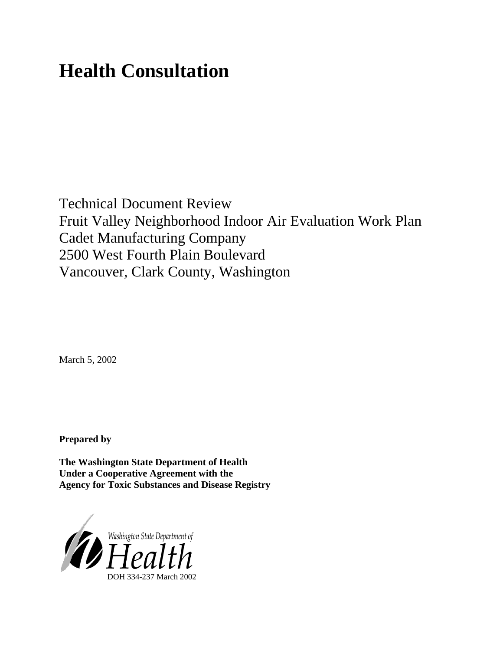# **Health Consultation**

Technical Document Review Fruit Valley Neighborhood Indoor Air Evaluation Work Plan Cadet Manufacturing Company 2500 West Fourth Plain Boulevard Vancouver, Clark County, Washington

March 5, 2002

**Prepared by**

**The Washington State Department of Health Under a Cooperative Agreement with the Agency for Toxic Substances and Disease Registry**

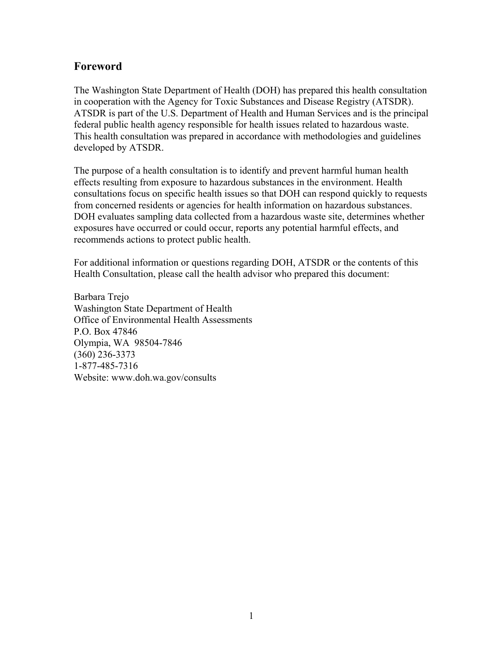### **Foreword**

The Washington State Department of Health (DOH) has prepared this health consultation in cooperation with the Agency for Toxic Substances and Disease Registry (ATSDR). ATSDR is part of the U.S. Department of Health and Human Services and is the principal federal public health agency responsible for health issues related to hazardous waste. This health consultation was prepared in accordance with methodologies and guidelines developed by ATSDR.

The purpose of a health consultation is to identify and prevent harmful human health effects resulting from exposure to hazardous substances in the environment. Health consultations focus on specific health issues so that DOH can respond quickly to requests from concerned residents or agencies for health information on hazardous substances. DOH evaluates sampling data collected from a hazardous waste site, determines whether exposures have occurred or could occur, reports any potential harmful effects, and recommends actions to protect public health.

For additional information or questions regarding DOH, ATSDR or the contents of this Health Consultation, please call the health advisor who prepared this document:

Barbara Trejo Washington State Department of Health Office of Environmental Health Assessments P.O. Box 47846 Olympia, WA 98504-7846 (360) 236-3373 1-877-485-7316 Website: [www.doh.wa.gov/](http://www.doh.wa.gov/consults)consults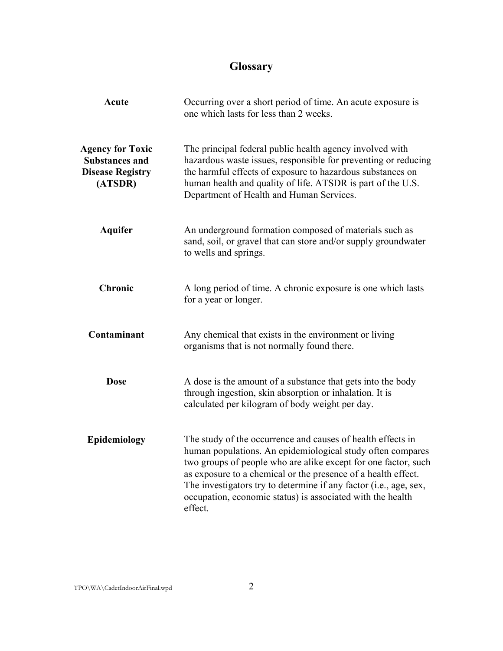# **Glossary**

| <b>Acute</b>                                                                           | Occurring over a short period of time. An acute exposure is<br>one which lasts for less than 2 weeks.                                                                                                                                                                                                                                                                                                      |
|----------------------------------------------------------------------------------------|------------------------------------------------------------------------------------------------------------------------------------------------------------------------------------------------------------------------------------------------------------------------------------------------------------------------------------------------------------------------------------------------------------|
| <b>Agency for Toxic</b><br><b>Substances and</b><br><b>Disease Registry</b><br>(ATSDR) | The principal federal public health agency involved with<br>hazardous waste issues, responsible for preventing or reducing<br>the harmful effects of exposure to hazardous substances on<br>human health and quality of life. ATSDR is part of the U.S.<br>Department of Health and Human Services.                                                                                                        |
| <b>Aquifer</b>                                                                         | An underground formation composed of materials such as<br>sand, soil, or gravel that can store and/or supply groundwater<br>to wells and springs.                                                                                                                                                                                                                                                          |
| <b>Chronic</b>                                                                         | A long period of time. A chronic exposure is one which lasts<br>for a year or longer.                                                                                                                                                                                                                                                                                                                      |
| Contaminant                                                                            | Any chemical that exists in the environment or living<br>organisms that is not normally found there.                                                                                                                                                                                                                                                                                                       |
| <b>Dose</b>                                                                            | A dose is the amount of a substance that gets into the body<br>through ingestion, skin absorption or inhalation. It is<br>calculated per kilogram of body weight per day.                                                                                                                                                                                                                                  |
| Epidemiology                                                                           | The study of the occurrence and causes of health effects in<br>human populations. An epidemiological study often compares<br>two groups of people who are alike except for one factor, such<br>as exposure to a chemical or the presence of a health effect.<br>The investigators try to determine if any factor (i.e., age, sex,<br>occupation, economic status) is associated with the health<br>effect. |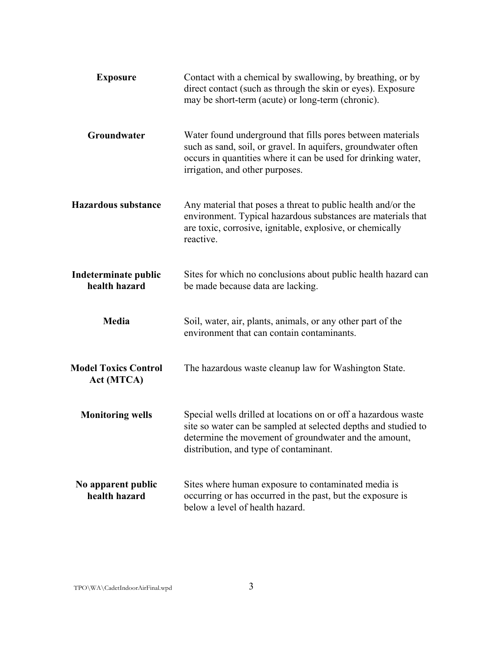| <b>Exposure</b>                           | Contact with a chemical by swallowing, by breathing, or by<br>direct contact (such as through the skin or eyes). Exposure<br>may be short-term (acute) or long-term (chronic).                                                      |
|-------------------------------------------|-------------------------------------------------------------------------------------------------------------------------------------------------------------------------------------------------------------------------------------|
| Groundwater                               | Water found underground that fills pores between materials<br>such as sand, soil, or gravel. In aquifers, groundwater often<br>occurs in quantities where it can be used for drinking water,<br>irrigation, and other purposes.     |
| <b>Hazardous substance</b>                | Any material that poses a threat to public health and/or the<br>environment. Typical hazardous substances are materials that<br>are toxic, corrosive, ignitable, explosive, or chemically<br>reactive.                              |
| Indeterminate public<br>health hazard     | Sites for which no conclusions about public health hazard can<br>be made because data are lacking.                                                                                                                                  |
| Media                                     | Soil, water, air, plants, animals, or any other part of the<br>environment that can contain contaminants.                                                                                                                           |
| <b>Model Toxics Control</b><br>Act (MTCA) | The hazardous waste cleanup law for Washington State.                                                                                                                                                                               |
| <b>Monitoring wells</b>                   | Special wells drilled at locations on or off a hazardous waste<br>site so water can be sampled at selected depths and studied to<br>determine the movement of groundwater and the amount,<br>distribution, and type of contaminant. |
| No apparent public<br>health hazard       | Sites where human exposure to contaminated media is<br>occurring or has occurred in the past, but the exposure is<br>below a level of health hazard.                                                                                |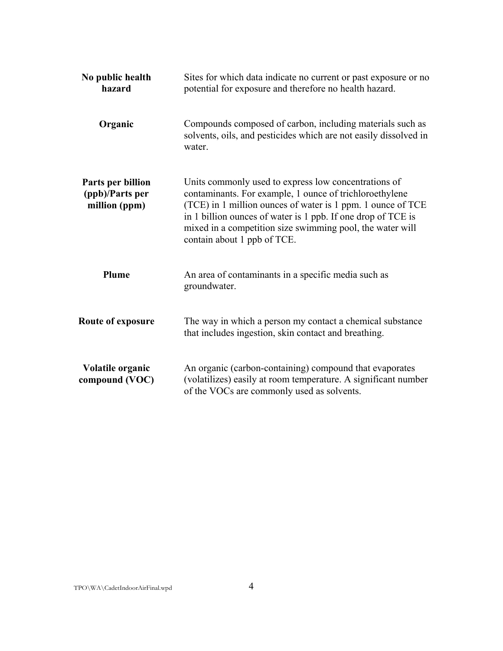| No public health<br>hazard                            | Sites for which data indicate no current or past exposure or no<br>potential for exposure and therefore no health hazard.                                                                                                                                                                                                                  |
|-------------------------------------------------------|--------------------------------------------------------------------------------------------------------------------------------------------------------------------------------------------------------------------------------------------------------------------------------------------------------------------------------------------|
| Organic                                               | Compounds composed of carbon, including materials such as<br>solvents, oils, and pesticides which are not easily dissolved in<br>water.                                                                                                                                                                                                    |
| Parts per billion<br>(ppb)/Parts per<br>million (ppm) | Units commonly used to express low concentrations of<br>contaminants. For example, 1 ounce of trichloroethylene<br>(TCE) in 1 million ounces of water is 1 ppm. 1 ounce of TCE<br>in 1 billion ounces of water is 1 ppb. If one drop of TCE is<br>mixed in a competition size swimming pool, the water will<br>contain about 1 ppb of TCE. |
| Plume                                                 | An area of contaminants in a specific media such as<br>groundwater.                                                                                                                                                                                                                                                                        |
| <b>Route of exposure</b>                              | The way in which a person my contact a chemical substance<br>that includes ingestion, skin contact and breathing.                                                                                                                                                                                                                          |
| Volatile organic<br>compound (VOC)                    | An organic (carbon-containing) compound that evaporates<br>(volatilizes) easily at room temperature. A significant number<br>of the VOCs are commonly used as solvents.                                                                                                                                                                    |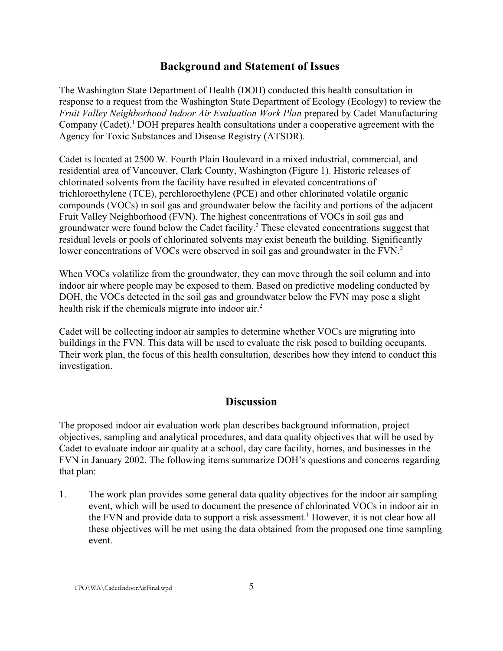#### **Background and Statement of Issues**

The Washington State Department of Health (DOH) conducted this health consultation in response to a request from the Washington State Department of Ecology (Ecology) to review the *Fruit Valley Neighborhood Indoor Air Evaluation Work Plan* prepared by Cadet Manufacturing Company (Cadet).<sup>1</sup> DOH prepares health consultations under a cooperative agreement with the Agency for Toxic Substances and Disease Registry (ATSDR).

Cadet is located at 2500 W. Fourth Plain Boulevard in a mixed industrial, commercial, and residential area of Vancouver, Clark County, Washington (Figure 1). Historic releases of chlorinated solvents from the facility have resulted in elevated concentrations of trichloroethylene (TCE), perchloroethylene (PCE) and other chlorinated volatile organic compounds (VOCs) in soil gas and groundwater below the facility and portions of the adjacent Fruit Valley Neighborhood (FVN). The highest concentrations of VOCs in soil gas and groundwater were found below the Cadet facility.<sup>2</sup> These elevated concentrations suggest that residual levels or pools of chlorinated solvents may exist beneath the building. Significantly lower concentrations of VOCs were observed in soil gas and groundwater in the FVN.<sup>2</sup>

When VOCs volatilize from the groundwater, they can move through the soil column and into indoor air where people may be exposed to them. Based on predictive modeling conducted by DOH, the VOCs detected in the soil gas and groundwater below the FVN may pose a slight health risk if the chemicals migrate into indoor air.<sup>2</sup>

Cadet will be collecting indoor air samples to determine whether VOCs are migrating into buildings in the FVN. This data will be used to evaluate the risk posed to building occupants. Their work plan, the focus of this health consultation, describes how they intend to conduct this investigation.

#### **Discussion**

The proposed indoor air evaluation work plan describes background information, project objectives, sampling and analytical procedures, and data quality objectives that will be used by Cadet to evaluate indoor air quality at a school, day care facility, homes, and businesses in the FVN in January 2002. The following items summarize DOH's questions and concerns regarding that plan:

1. The work plan provides some general data quality objectives for the indoor air sampling event, which will be used to document the presence of chlorinated VOCs in indoor air in the FVN and provide data to support a risk assessment.<sup>1</sup> However, it is not clear how all these objectives will be met using the data obtained from the proposed one time sampling event.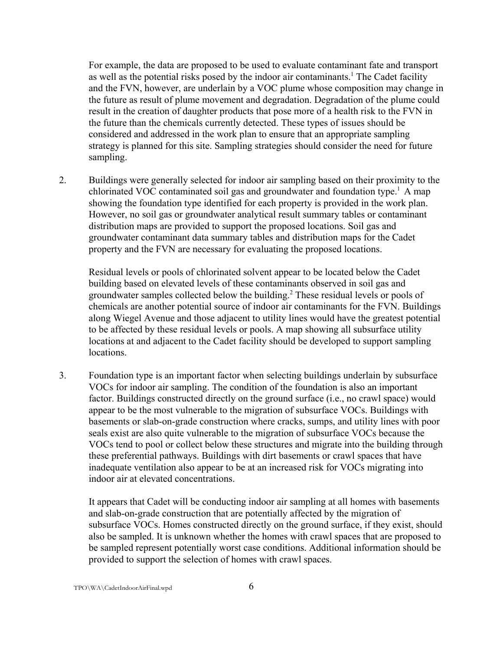For example, the data are proposed to be used to evaluate contaminant fate and transport as well as the potential risks posed by the indoor air contaminants.<sup>1</sup> The Cadet facility and the FVN, however, are underlain by a VOC plume whose composition may change in the future as result of plume movement and degradation. Degradation of the plume could result in the creation of daughter products that pose more of a health risk to the FVN in the future than the chemicals currently detected. These types of issues should be considered and addressed in the work plan to ensure that an appropriate sampling strategy is planned for this site. Sampling strategies should consider the need for future sampling.

2. Buildings were generally selected for indoor air sampling based on their proximity to the chlorinated VOC contaminated soil gas and groundwater and foundation type.<sup>1</sup> A map showing the foundation type identified for each property is provided in the work plan. However, no soil gas or groundwater analytical result summary tables or contaminant distribution maps are provided to support the proposed locations. Soil gas and groundwater contaminant data summary tables and distribution maps for the Cadet property and the FVN are necessary for evaluating the proposed locations.

Residual levels or pools of chlorinated solvent appear to be located below the Cadet building based on elevated levels of these contaminants observed in soil gas and groundwater samples collected below the building.<sup>2</sup> These residual levels or pools of chemicals are another potential source of indoor air contaminants for the FVN. Buildings along Wiegel Avenue and those adjacent to utility lines would have the greatest potential to be affected by these residual levels or pools. A map showing all subsurface utility locations at and adjacent to the Cadet facility should be developed to support sampling locations.

3. Foundation type is an important factor when selecting buildings underlain by subsurface VOCs for indoor air sampling. The condition of the foundation is also an important factor. Buildings constructed directly on the ground surface (i.e., no crawl space) would appear to be the most vulnerable to the migration of subsurface VOCs. Buildings with basements or slab-on-grade construction where cracks, sumps, and utility lines with poor seals exist are also quite vulnerable to the migration of subsurface VOCs because the VOCs tend to pool or collect below these structures and migrate into the building through these preferential pathways. Buildings with dirt basements or crawl spaces that have inadequate ventilation also appear to be at an increased risk for VOCs migrating into indoor air at elevated concentrations.

It appears that Cadet will be conducting indoor air sampling at all homes with basements and slab-on-grade construction that are potentially affected by the migration of subsurface VOCs. Homes constructed directly on the ground surface, if they exist, should also be sampled. It is unknown whether the homes with crawl spaces that are proposed to be sampled represent potentially worst case conditions. Additional information should be provided to support the selection of homes with crawl spaces.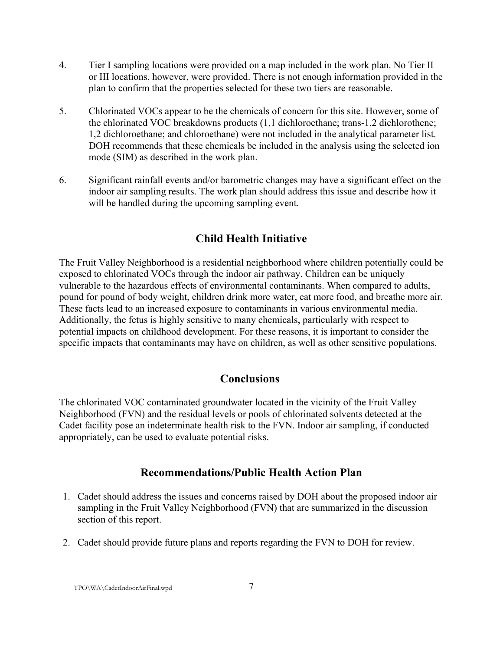- 4. Tier I sampling locations were provided on a map included in the work plan. No Tier II or III locations, however, were provided. There is not enough information provided in the plan to confirm that the properties selected for these two tiers are reasonable.
- 5. Chlorinated VOCs appear to be the chemicals of concern for this site. However, some of the chlorinated VOC breakdowns products (1,1 dichloroethane; trans-1,2 dichlorothene; 1,2 dichloroethane; and chloroethane) were not included in the analytical parameter list. DOH recommends that these chemicals be included in the analysis using the selected ion mode (SIM) as described in the work plan.
- 6. Significant rainfall events and/or barometric changes may have a significant effect on the indoor air sampling results. The work plan should address this issue and describe how it will be handled during the upcoming sampling event.

# **Child Health Initiative**

The Fruit Valley Neighborhood is a residential neighborhood where children potentially could be exposed to chlorinated VOCs through the indoor air pathway. Children can be uniquely vulnerable to the hazardous effects of environmental contaminants. When compared to adults, pound for pound of body weight, children drink more water, eat more food, and breathe more air. These facts lead to an increased exposure to contaminants in various environmental media. Additionally, the fetus is highly sensitive to many chemicals, particularly with respect to potential impacts on childhood development. For these reasons, it is important to consider the specific impacts that contaminants may have on children, as well as other sensitive populations.

#### **Conclusions**

The chlorinated VOC contaminated groundwater located in the vicinity of the Fruit Valley Neighborhood (FVN) and the residual levels or pools of chlorinated solvents detected at the Cadet facility pose an indeterminate health risk to the FVN. Indoor air sampling, if conducted appropriately, can be used to evaluate potential risks.

#### **Recommendations/Public Health Action Plan**

- 1. Cadet should address the issues and concerns raised by DOH about the proposed indoor air sampling in the Fruit Valley Neighborhood (FVN) that are summarized in the discussion section of this report.
- 2. Cadet should provide future plans and reports regarding the FVN to DOH for review.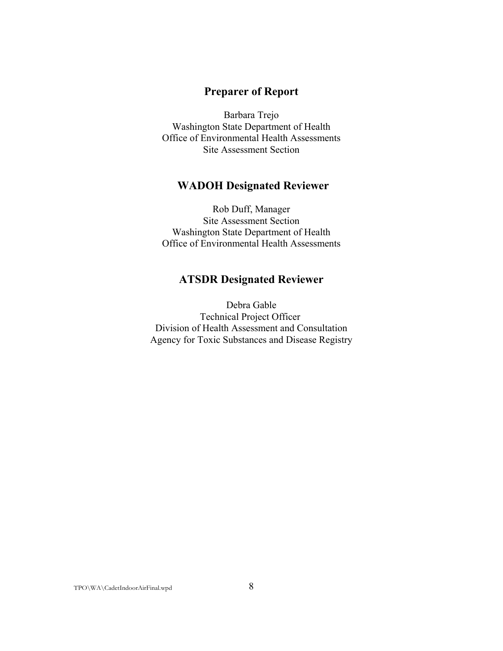#### **Preparer of Report**

Barbara Trejo Washington State Department of Health Office of Environmental Health Assessments Site Assessment Section

#### **WADOH Designated Reviewer**

Rob Duff, Manager Site Assessment Section Washington State Department of Health Office of Environmental Health Assessments

#### **ATSDR Designated Reviewer**

Debra Gable Technical Project Officer Division of Health Assessment and Consultation Agency for Toxic Substances and Disease Registry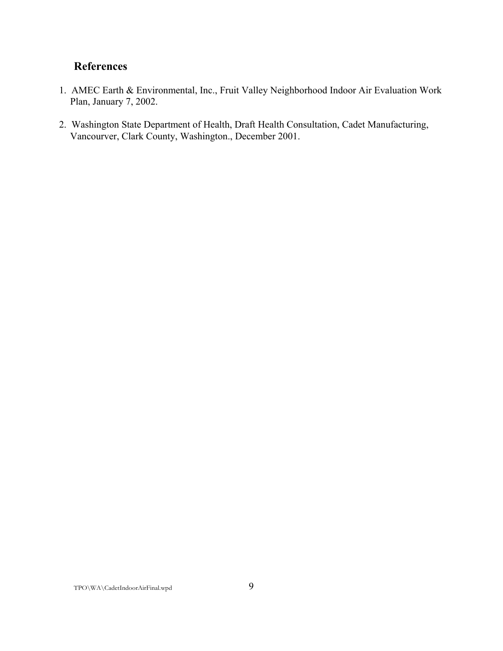# **References**

- 1. AMEC Earth & Environmental, Inc., Fruit Valley Neighborhood Indoor Air Evaluation Work Plan, January 7, 2002.
- 2. Washington State Department of Health, Draft Health Consultation, Cadet Manufacturing, Vancourver, Clark County, Washington., December 2001.